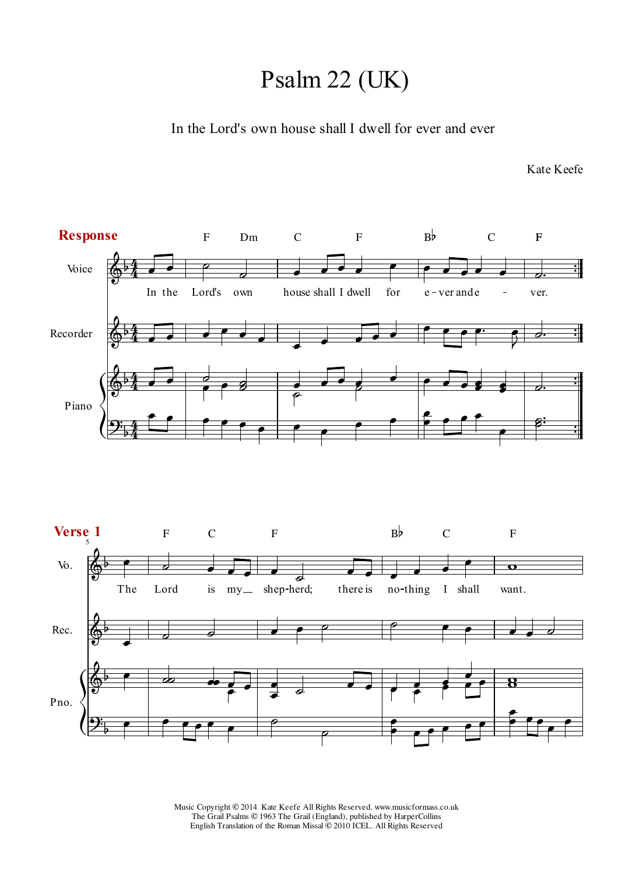## Psalm 22 (UK)

In the Lord's own house shall I dwell for ever and ever

Kate Keefe

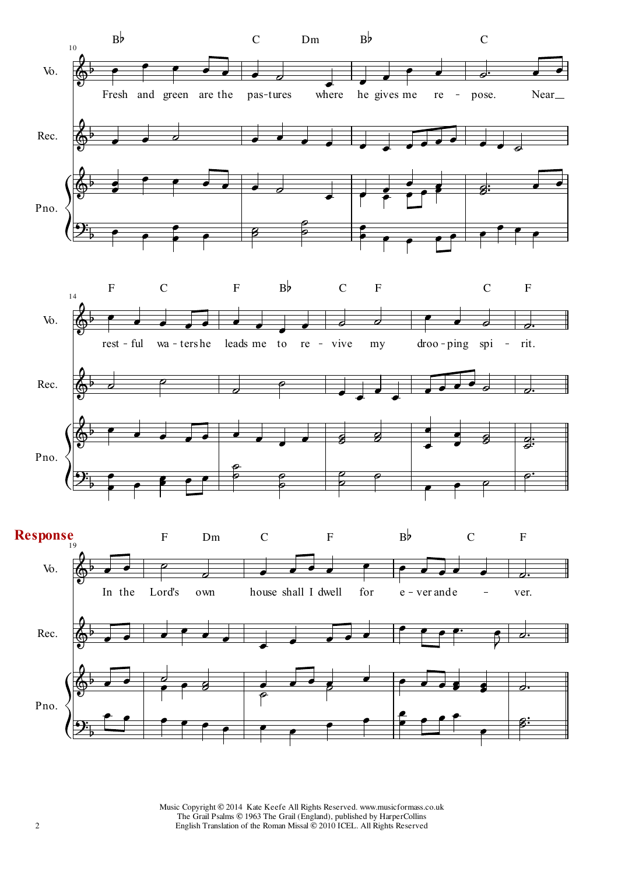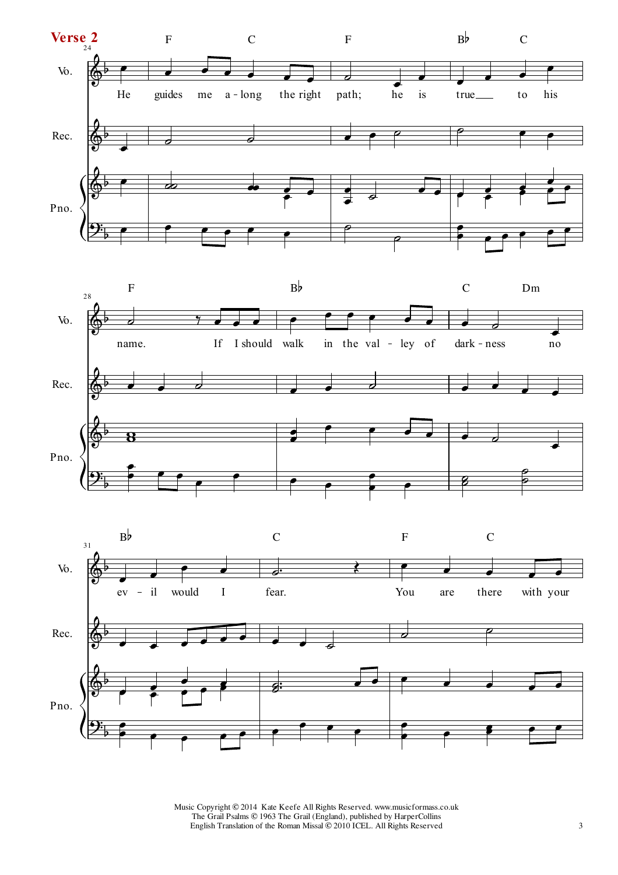



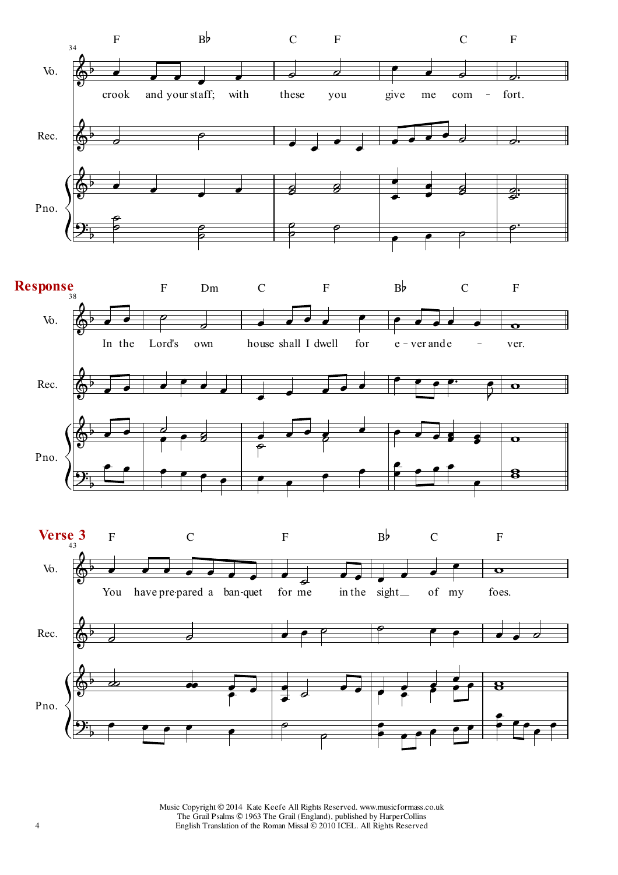

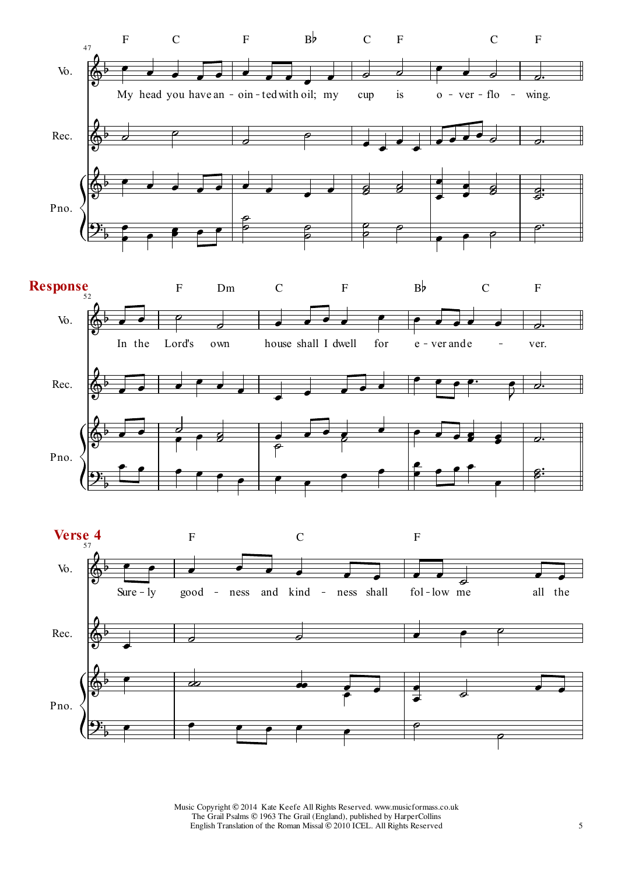